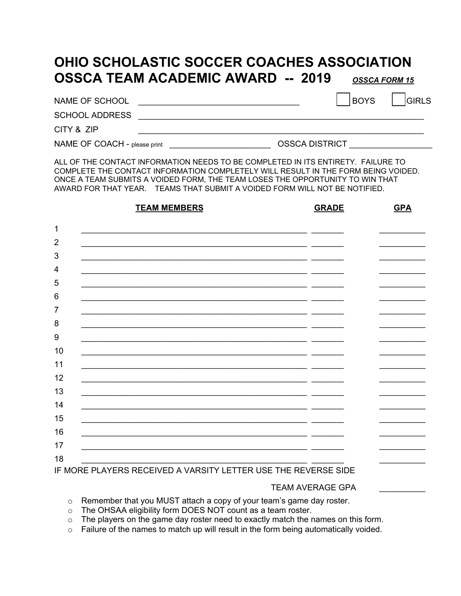## **OHIO SCHOLASTIC SOCCER COACHES ASSOCIATION OSSCA TEAM ACADEMIC AWARD -- 2019** *OSSCA FORM 15*

NAME OF SCHOOL **NAME OF SCHOOL** 

SCHOOL ADDRESS \_\_\_\_\_\_\_\_\_\_\_\_\_\_\_\_\_\_\_\_\_\_\_\_\_\_\_\_\_\_\_\_\_\_\_\_\_\_\_\_\_\_\_\_\_\_\_\_\_\_\_\_\_\_\_\_\_\_\_\_\_\_

CITY & ZIP \_\_\_\_\_\_\_\_\_\_\_\_\_\_\_\_\_\_\_\_\_\_\_\_\_\_\_\_\_\_\_\_\_\_\_\_\_\_\_\_\_\_\_\_\_\_\_\_\_\_\_\_\_\_\_\_\_\_\_\_\_\_

NAME OF COACH - please print \_\_\_\_\_\_\_\_\_\_\_\_\_\_\_\_\_\_\_\_\_\_\_\_\_\_\_\_\_\_OSSCA DISTRICT

ALL OF THE CONTACT INFORMATION NEEDS TO BE COMPLETED IN ITS ENTIRETY. FAILURE TO COMPLETE THE CONTACT INFORMATION COMPLETELY WILL RESULT IN THE FORM BEING VOIDED. ONCE A TEAM SUBMITS A VOIDED FORM, THE TEAM LOSES THE OPPORTUNITY TO WIN THAT AWARD FOR THAT YEAR. TEAMS THAT SUBMIT A VOIDED FORM WILL NOT BE NOTIFIED.

|                  | <b>TEAM MEMBERS</b>                                                     | <b>GRADE</b> | <b>GPA</b> |
|------------------|-------------------------------------------------------------------------|--------------|------------|
| $\mathbf{1}$     |                                                                         |              |            |
| $\overline{2}$   |                                                                         |              |            |
| $\mathbf{3}$     |                                                                         |              |            |
| 4                |                                                                         |              |            |
| 5                |                                                                         |              |            |
| $\,6$            |                                                                         |              |            |
| $\overline{7}$   |                                                                         |              |            |
| 8                |                                                                         |              |            |
| $\boldsymbol{9}$ |                                                                         |              |            |
| 10               |                                                                         |              |            |
| 11               |                                                                         |              |            |
| 12               |                                                                         |              |            |
| 13               |                                                                         |              |            |
| 14               |                                                                         |              |            |
| 15               |                                                                         |              |            |
| 16               |                                                                         |              |            |
| 17               |                                                                         |              |            |
| 18               | <u>IF MODE DI AVEDO DECENIED A MADOITV I ETTED HOE THE DEVEDOE OIDE</u> |              |            |

IF MORE PLAYERS RECEIVED A VARSITY LETTER USE THE REVERSE SIDE

## TEAM AVERAGE GPA \_\_\_\_\_\_\_\_\_\_

o Remember that you MUST attach a copy of your team's game day roster.

- o The OHSAA eligibility form DOES NOT count as a team roster.
- $\circ$  The players on the game day roster need to exactly match the names on this form.
- $\circ$  Failure of the names to match up will result in the form being automatically voided.